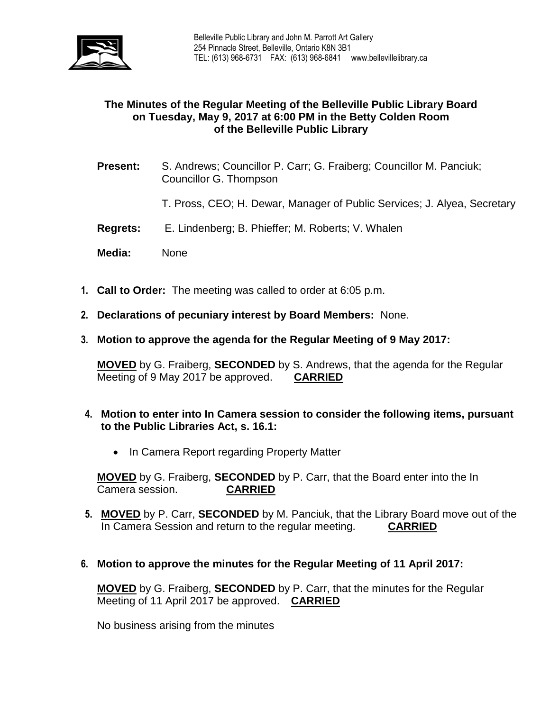

## **The Minutes of the Regular Meeting of the Belleville Public Library Board on Tuesday, May 9, 2017 at 6:00 PM in the Betty Colden Room of the Belleville Public Library**

- **Present:** S. Andrews; Councillor P. Carr; G. Fraiberg; Councillor M. Panciuk; Councillor G. Thompson
	- T. Pross, CEO; H. Dewar, Manager of Public Services; J. Alyea, Secretary
- **Regrets:** E. Lindenberg; B. Phieffer; M. Roberts; V. Whalen
- **Media:** None
- **1. Call to Order:** The meeting was called to order at 6:05 p.m.
- **2. Declarations of pecuniary interest by Board Members:** None.
- **3. Motion to approve the agenda for the Regular Meeting of 9 May 2017:**

**MOVED** by G. Fraiberg, **SECONDED** by S. Andrews, that the agenda for the Regular Meeting of 9 May 2017 be approved. **CARRIED**

- **4. Motion to enter into In Camera session to consider the following items, pursuant to the Public Libraries Act, s. 16.1:** 
	- In Camera Report regarding Property Matter

**MOVED** by G. Fraiberg, **SECONDED** by P. Carr, that the Board enter into the In Camera session. **CARRIED**

- **5. MOVED** by P. Carr, **SECONDED** by M. Panciuk, that the Library Board move out of the In Camera Session and return to the regular meeting. **CARRIED**
- **6. Motion to approve the minutes for the Regular Meeting of 11 April 2017:**

**MOVED** by G. Fraiberg, **SECONDED** by P. Carr, that the minutes for the Regular Meeting of 11 April 2017 be approved. **CARRIED**

No business arising from the minutes